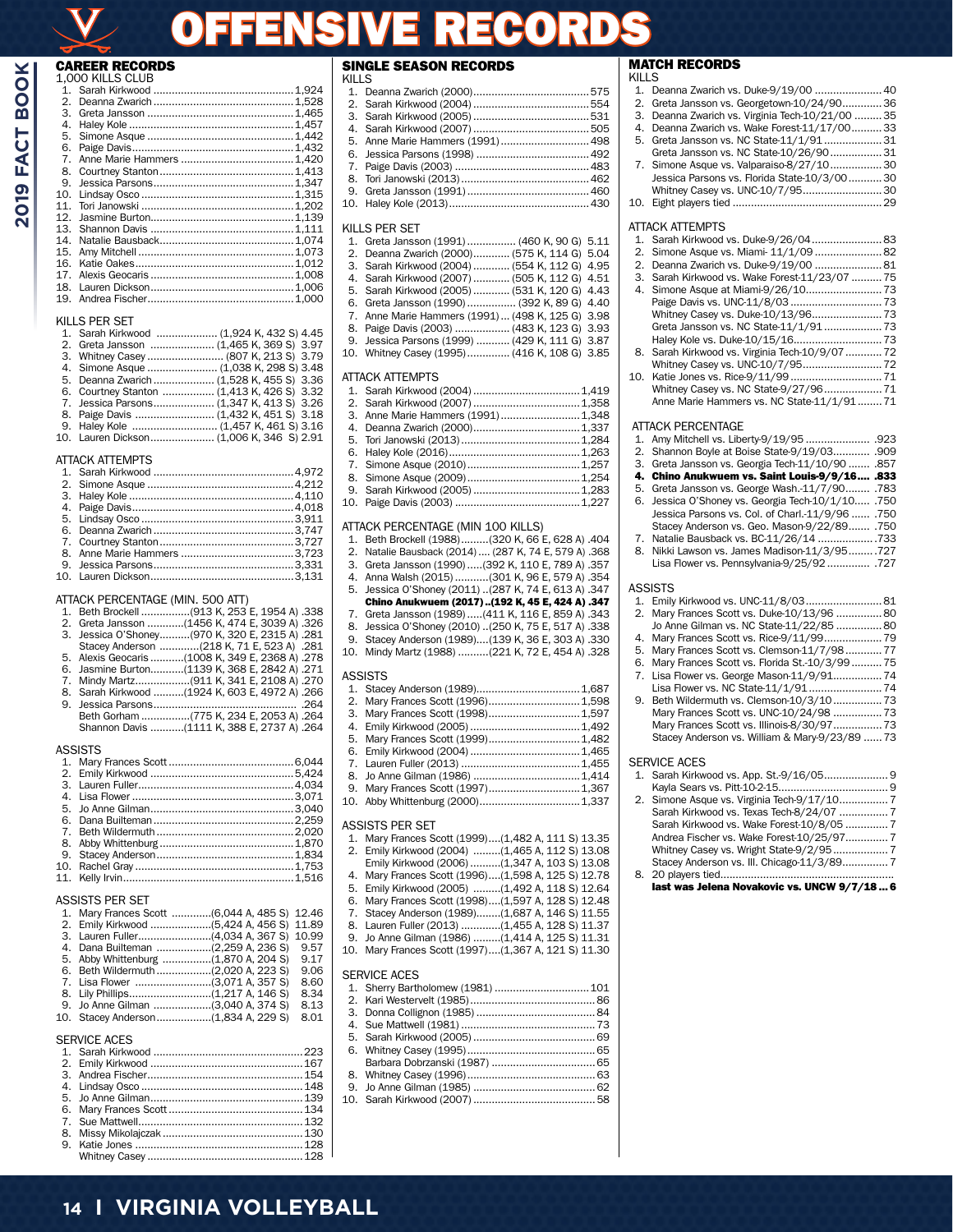# OFFENSIVE RECORDS

#### CAREER RECORDS 1,000 KILLS CLUB

| $1_{-}$ |  |
|---------|--|
| 2.      |  |
| З.      |  |
| 4.      |  |
| 5.      |  |
| 6.      |  |
| 7.      |  |
| 8.      |  |
| 9.      |  |
| 10.     |  |
| 11.     |  |
| 12.     |  |
| 13.     |  |
| 14.     |  |
| 15.     |  |
| 16.     |  |
| 17.     |  |
| 18.     |  |
| 19.     |  |

#### KILLS PER SET

| 1. Sarah Kirkwood  (1,924 K, 432 S) 4.45   |
|--------------------------------------------|
| 2. Greta Jansson  (1,465 K, 369 S) 3.97    |
| 3. Whitney Casey  (807 K, 213 S) 3.79      |
|                                            |
| 5. Deanna Zwarich  (1,528 K, 455 S) 3.36   |
| 6. Courtney Stanton  (1,413 K, 426 S) 3.32 |
| 7. Jessica Parsons (1,347 K, 413 S) 3.26   |
|                                            |
|                                            |
|                                            |
|                                            |

#### ATTACK ATTEMPTS

| ALIAU ALIFIVIELS |  |  |  |
|------------------|--|--|--|
|                  |  |  |  |
|                  |  |  |  |
|                  |  |  |  |
|                  |  |  |  |
|                  |  |  |  |
|                  |  |  |  |
|                  |  |  |  |
|                  |  |  |  |
|                  |  |  |  |
|                  |  |  |  |
|                  |  |  |  |

#### ATTACK PERCENTAGE (MIN. 500 ATT)

|         | 1. Beth Brockell (913 K, 253 E, 1954 A) .338    |
|---------|-------------------------------------------------|
|         | 2. Greta Jansson (1456 K, 474 E, 3039 A) .326   |
|         | 3. Jessica O'Shoney(970 K, 320 E, 2315 A) .281  |
|         | Stacey Anderson (218 K, 71 E, 523 A) .281       |
|         | 5. Alexis Geocaris (1008 K, 349 E, 2368 A) .278 |
|         | 6. Jasmine Burton(1139 K, 368 E, 2842 A) .271   |
|         |                                                 |
|         | 8. Sarah Kirkwood (1924 K, 603 E, 4972 A) .266  |
|         |                                                 |
|         | Beth Gorham (775 K, 234 E, 2053 A) .264         |
|         | Shannon Davis (1111 K, 388 E, 2737 A) .264      |
|         |                                                 |
| ASSISTS |                                                 |
|         |                                                 |

#### ASSISTS PER SET

| 5. Abby Whittenburg (1,870 A, 204 S) |  | 9.17 |  |
|--------------------------------------|--|------|--|
| 6. Beth Wildermuth (2,020 A, 223 S)  |  | 9.06 |  |
| 7. Lisa Flower (3,071 A, 357 S)      |  | 8.60 |  |
|                                      |  | 8.34 |  |
| 9. Jo Anne Gilman (3,040 A, 374 S)   |  | 8.13 |  |
| 10. Stacey Anderson(1,834 A, 229 S)  |  | 8.01 |  |
|                                      |  |      |  |

#### SERVICE ACES

#### SINGLE SEASON RECORDS KILLS

| NILLƏ |  |
|-------|--|
|       |  |
|       |  |
|       |  |
|       |  |
|       |  |
|       |  |
|       |  |
|       |  |
|       |  |
|       |  |
|       |  |

#### KILLS PER SET

| 1. Greta Jansson (1991)  (460 K, 90 G) 5.11      |  |
|--------------------------------------------------|--|
| 2. Deanna Zwarich (2000) (575 K, 114 G) 5.04     |  |
| 3. Sarah Kirkwood (2004)  (554 K, 112 G) 4.95    |  |
| 4. Sarah Kirkwood (2007)  (505 K, 112 G) 4.51    |  |
| 5. Sarah Kirkwood (2005)  (531 K, 120 G) 4.43    |  |
| 6. Greta Jansson (1990)  (392 K, 89 G) 4.40      |  |
| 7. Anne Marie Hammers (1991) (498 K, 125 G) 3.98 |  |
| 8. Paige Davis (2003)  (483 K, 123 G) 3.93       |  |
| 9. Jessica Parsons (1999)  (429 K, 111 G) 3.87   |  |
| 10. Whitney Casey (1995) (416 K, 108 G) 3.85     |  |
|                                                  |  |

#### ATTACK ATTEMPTS

| 3. Anne Marie Hammers (1991)1,348 |  |
|-----------------------------------|--|
|                                   |  |
|                                   |  |
|                                   |  |
|                                   |  |
|                                   |  |
|                                   |  |
|                                   |  |
|                                   |  |

## ATTACK PERCENTAGE (MIN 100 KILLS)

| 1. Beth Brockell (1988)(320 K, 66 E, 628 A) .404 |  |  |
|--------------------------------------------------|--|--|

- 2. Natalie Bausback (2014) .... (287 K, 74 E, 579 A) .368 3. Greta Jansson (1990).....(392 K, 110 E, 789 A) .357
- 
- 4. Anna Walsh (2015) ...........(301 K, 96 E, 579 A) .354 5. Jessica O'Shoney (2011) ..(287 K, 74 E, 613 A) .347
- Chino Anukwuem (2017)..(192 K, 45 E, 424 A) .347
- 7. Greta Jansson (1989).....(411 K, 116 E, 859 A) .343
- 8. Jessica O'Shoney (2010) ..(250 K, 75 E, 517 A) .338
- 9. Stacey Anderson (1989)....(139 K, 36 E, 303 A) .330
- 10. Mindy Martz (1988) ..........(221 K, 72 E, 454 A) .328

#### ASSISTS

| 3. Mary Frances Scott (1998)1,597 |  |
|-----------------------------------|--|
|                                   |  |
| 5. Mary Frances Scott (1999)1,482 |  |
|                                   |  |
|                                   |  |
|                                   |  |
| 9. Mary Frances Scott (1997)1,367 |  |
|                                   |  |
|                                   |  |
| ASSISTS PER SET                   |  |

## 1. Mary Frances Scott (1999)....(1,482 A, 111 S) 13.35

- 2. Emily Kirkwood (2004) .........(1,465 A, 112 S) 13.08 Emily Kirkwood (2006) ..........(1,347 A, 103 S) 13.08
- 4. Mary Frances Scott (1996)....(1,598 A, 125 S) 12.78
- 5. Emily Kirkwood (2005) .........(1,492 A, 118 S) 12.64
- 6. Mary Frances Scott (1998)....(1,597 A, 128 S) 12.48 7. Stacey Anderson (1989)........(1,687 A, 146 S) 11.55
- 8. Lauren Fuller (2013) .............(1,455 A, 128 S) 11.37
- 9. Jo Anne Gilman (1986) .........(1,414 A, 125 S) 11.31
- 10. Mary Frances Scott (1997)....(1,367 A, 121 S) 11.30

## SERVICE ACES

| <u>ULIVIUL INJLU</u> |  |
|----------------------|--|
|                      |  |
|                      |  |
|                      |  |
|                      |  |
|                      |  |
|                      |  |
|                      |  |
|                      |  |
|                      |  |
|                      |  |
|                      |  |

## MATCH RECORDS

| KILLS    |                                                                                             |
|----------|---------------------------------------------------------------------------------------------|
| 1.       | Deanna Zwarich vs. Duke-9/19/00  40                                                         |
| 2.       | Greta Jansson vs. Georgetown-10/24/9036                                                     |
| 3.<br>4. | Deanna Zwarich vs. Virginia Tech-10/21/00  35<br>Deanna Zwarich vs. Wake Forest-11/17/00 33 |
| 5.       | Greta Jansson vs. NC State-11/1/9131                                                        |
|          | Greta Jansson vs. NC State-10/26/90 31                                                      |
| 7.       | Simone Asque vs. Valparaiso-8/27/10 30                                                      |
|          | Jessica Parsons vs. Florida State-10/3/0030                                                 |
|          | Whitney Casey vs. UNC-10/7/95 30                                                            |
| 10.      |                                                                                             |
|          | ATTACK ATTEMPTS                                                                             |
| 1.       | Sarah Kirkwood vs. Duke-9/26/04 83                                                          |
| 2.       | Simone Asque vs. Miami- 11/1/09 82                                                          |
| 2.       | Deanna Zwarich vs. Duke-9/19/00  81                                                         |
| 3.<br>4. | Sarah Kirkwood vs. Wake Forest-11/23/07  75                                                 |
|          |                                                                                             |
|          |                                                                                             |
|          | Greta Jansson vs. NC State-11/1/91 73                                                       |
|          |                                                                                             |
| 8.       | Sarah Kirkwood vs. Virginia Tech-10/9/07  72                                                |
| 10.      | Whitney Casey vs. UNC-10/7/95 72                                                            |
|          | Whitney Casey vs. NC State-9/27/96 71                                                       |
|          | Anne Marie Hammers vs. NC State-11/1/9171                                                   |
|          |                                                                                             |
|          | ATTACK PERCENTAGE                                                                           |
| 1.<br>2. |                                                                                             |
| 3.       | Shannon Boyle at Boise State-9/19/03 .909<br>Greta Jansson vs. Georgia Tech-11/10/90  .857  |
| 4.       | Chino Anukwuem vs. Saint Louis-9/9/16 .833                                                  |
| 5.       | Greta Jansson vs. George Wash.-11/7/90 .783                                                 |
| 6.       | Jessica O'Shoney vs. Georgia Tech-10/1/10 .750                                              |
|          | Jessica Parsons vs. Col. of Charl.-11/9/96  .750                                            |
| 7.       | Stacey Anderson vs. Geo. Mason-9/22/89 .750<br>Natalie Bausback vs. BC-11/26/14 733         |
| 8.       | Nikki Lawson vs. James Madison-11/3/95727                                                   |
|          | Lisa Flower vs. Pennsylvania-9/25/92 .727                                                   |
|          |                                                                                             |
|          | ASSISTS                                                                                     |
| 1.<br>2. | Emily Kirkwood vs. UNC-11/8/03 81<br>Mary Frances Scott vs. Duke-10/13/96  80               |
|          | Jo Anne Gilman vs. NC State-11/22/85  80                                                    |
| 4.       | Mary Frances Scott vs. Rice-9/11/99 79                                                      |
| 5.       | Mary Frances Scott vs. Clemson-11/7/9877                                                    |
| 6.       | Mary Frances Scott vs. Florida St.-10/3/9975                                                |
| 7.       | Lisa Flower vs. George Mason-11/9/91 74                                                     |
| 9.       | Beth Wildermuth vs. Clemson-10/3/10 73                                                      |
|          | Mary Frances Scott vs. UNC-10/24/98  73                                                     |
|          | Mary Frances Scott vs. Illinois-8/30/97 73                                                  |
|          | Stacey Anderson vs. William & Mary-9/23/89  73                                              |
|          | SERVICE ACES                                                                                |
| 1.       | Sarah Kirkwood vs. App. St.-9/16/05 9                                                       |
|          |                                                                                             |
| 2.       | Simone Asque vs. Virginia Tech-9/17/107                                                     |
|          | Sarah Kirkwood vs. Texas Tech-8/24/07 7                                                     |
|          | Sarah Kirkwood vs. Wake Forest-10/8/05  7                                                   |
|          | Andrea Fischer vs. Wake Forest-10/25/977                                                    |
|          | Stacey Anderson vs. III. Chicago-11/3/89 7                                                  |
| 8.       |                                                                                             |
|          | last was Jelena Novakovic vs. UNCW 9/7/18 6                                                 |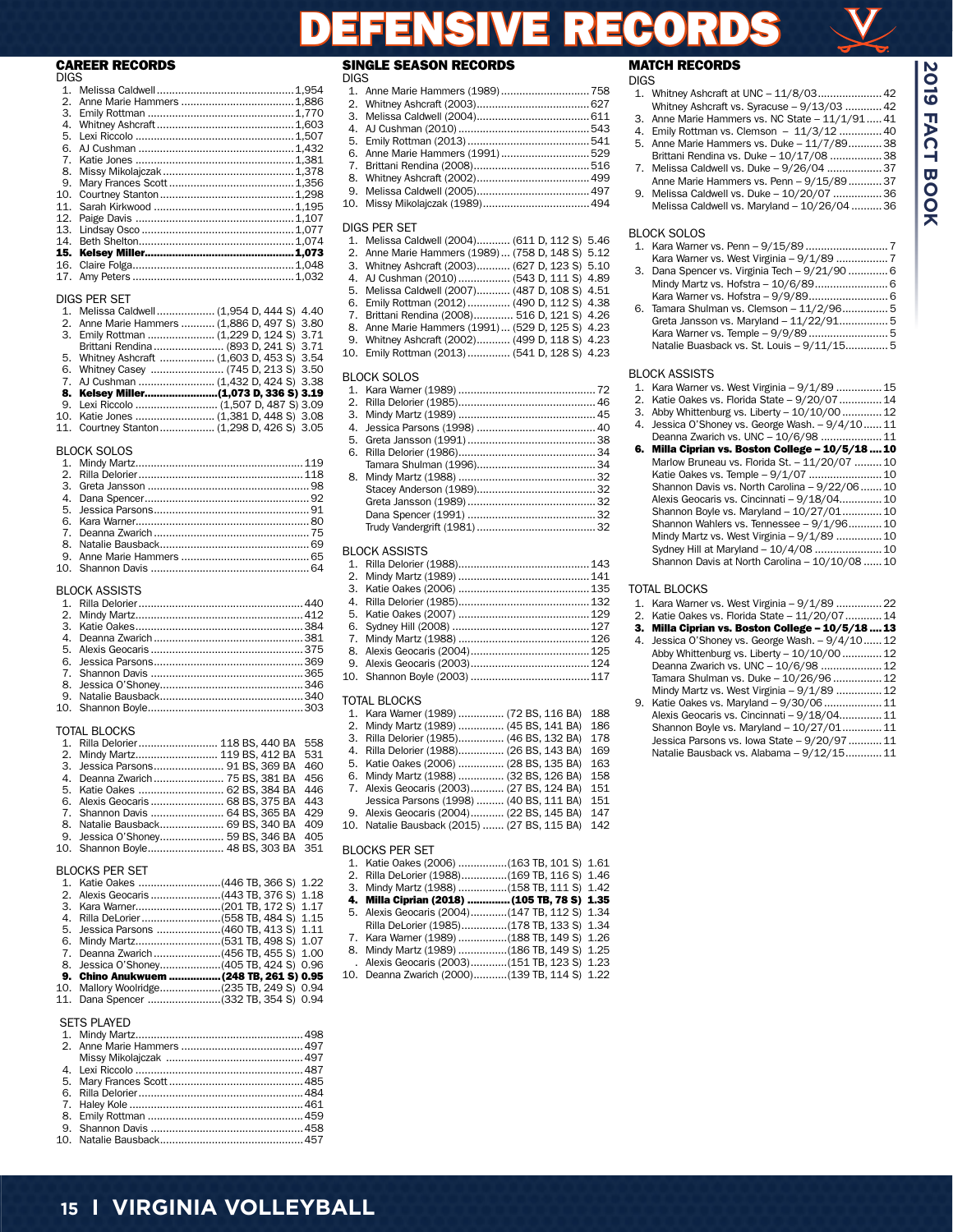# **15 I VIRGINIA VOLLEYBALL**

| 1.          |  |
|-------------|--|
| $2^{\circ}$ |  |
| 3.          |  |
| 4.          |  |
| 5.          |  |
| 6.          |  |
| 7.          |  |
| 8.          |  |
| 9.          |  |
| 10.         |  |
| 11.         |  |
| 12.         |  |
|             |  |
| 14.         |  |
| 15.         |  |
| 16.         |  |
|             |  |
|             |  |

#### DIGS PER SET

| <b>DIUJIEI JEI</b> |                                              |
|--------------------|----------------------------------------------|
|                    | 1. Melissa Caldwell (1,954 D, 444 S) 4.40    |
|                    | 2. Anne Marie Hammers  (1,886 D, 497 S) 3.80 |
|                    | 3. Emily Rottman  (1,229 D, 124 S) 3.71      |
|                    | Brittani Rendina  (893 D, 241 S) 3.71        |
|                    | 5. Whitney Ashcraft  (1,603 D, 453 S) 3.54   |
|                    |                                              |
|                    |                                              |
|                    |                                              |
|                    |                                              |
|                    | 10. Katie Jones  (1,381 D, 448 S) 3.08       |
|                    | 11. Courtney Stanton (1,298 D, 426 S) 3.05   |
|                    |                                              |

#### BLOCK SOLOS

#### **BLOCK ASSISTS**

| --------------- |  |
|-----------------|--|
|                 |  |
|                 |  |
|                 |  |
|                 |  |
|                 |  |
|                 |  |
|                 |  |
|                 |  |
|                 |  |
|                 |  |

#### TOTAL BLOCKS

|  | 1. Rilla Delorier 118 BS, 440 BA 558  |  | 3. Rilla Delorier (1  |
|--|---------------------------------------|--|-----------------------|
|  | 2. Mindy Martz 119 BS, 412 BA 531     |  | 4. Rilla Delorier (1  |
|  |                                       |  | 5. Katie Oakes (2)    |
|  | 4. Deanna Zwarich  75 BS, 381 BA 456  |  | 6. Mindy Martz (1     |
|  | 5. Katie Oakes  62 BS, 384 BA 446     |  | 7. Alexis Geocaris    |
|  |                                       |  | Jessica Parson        |
|  | 7. Shannon Davis  64 BS, 365 BA 429   |  | 9. Alexis Geocaris    |
|  | 8. Natalie Bausback 69 BS, 340 BA 409 |  | 10. Natalie Bausba    |
|  | 9. Jessica O'Shoney 59 BS, 346 BA 405 |  |                       |
|  | 10. Shannon Boyle 48 BS, 303 BA 351   |  | <b>BLOCKS PER SET</b> |
|  |                                       |  |                       |

#### BLOCKS PER SET

| 2600 N D L LIV OF L                       |  |
|-------------------------------------------|--|
|                                           |  |
|                                           |  |
|                                           |  |
|                                           |  |
|                                           |  |
|                                           |  |
|                                           |  |
|                                           |  |
| 9. Chino Anukwuem (248 TB, 261 S) 0.95    |  |
| 10. Mallory Woolridge(235 TB, 249 S) 0.94 |  |
|                                           |  |

## 10. Mallory Woolridge....................(235 TB, 249 S) 0.94 11. Dana Spencer ........................(332 TB, 354 S) 0.94 SETS PLAYED

| <u>JLIJILAILU</u> |  |
|-------------------|--|
|                   |  |
|                   |  |
|                   |  |
|                   |  |
|                   |  |
|                   |  |
|                   |  |
|                   |  |
|                   |  |
|                   |  |
|                   |  |

#### SINGLE SEASON RECORDS

| <b>DIGS</b> |                                 |  |
|-------------|---------------------------------|--|
|             |                                 |  |
|             |                                 |  |
|             |                                 |  |
|             |                                 |  |
|             |                                 |  |
|             | 6. Anne Marie Hammers (1991)529 |  |
|             |                                 |  |
|             |                                 |  |
|             |                                 |  |

DEFENSIVE RECORDS

10. Missy Mikolajczak (1989)...................................494

## DIGS PER SET

| 1. Melissa Caldwell (2004) (611 D, 112 S) 5.46    |  |  |  |
|---------------------------------------------------|--|--|--|
| 2. Anne Marie Hammers (1989)  (758 D, 148 S) 5.12 |  |  |  |
| 3. Whitney Ashcraft (2003) (627 D, 123 S) 5.10    |  |  |  |
| 4. AJ Cushman (2010)  (543 D, 111 S) 4.89         |  |  |  |

- 5. Melissa Caldwell (2007)........... (487 D, 108 S) 4.51 6. Emily Rottman (2012).............. (490 D, 112 S) 4.38
- 7. Brittani Rendina (2008)............. 516 D, 121 S) 4.26
- 8. Anne Marie Hammers (1991)... (529 D, 125 S) 4.23
- 9. Whitney Ashcraft (2002)........... (499 D, 118 S) 4.23 10. Emily Rottman (2013).............. (541 D, 128 S) 4.23

## BLOCK SOLOS

#### BLOCK ASSISTS

## TOTAL BLOCKS

| 1. Kara Warner (1989)  (72 BS, 116 BA)       | 188 |
|----------------------------------------------|-----|
| 2. Mindy Martz (1989)  (45 BS, 141 BA)       | 186 |
| 3. Rilla Delorier (1985) (46 BS, 132 BA)     | 178 |
| 4. Rilla Delorier (1988) (26 BS, 143 BA)     | 169 |
| 5. Katie Oakes (2006)  (28 BS, 135 BA)       | 163 |
| 6. Mindy Martz (1988)  (32 BS, 126 BA)       | 158 |
| 7. Alexis Geocaris (2003) (27 BS, 124 BA)    | 151 |
| Jessica Parsons (1998)  (40 BS, 111 BA)      | 151 |
| 9. Alexis Geocaris (2004) (22 BS, 145 BA)    | 147 |
| 10. Natalie Bausback (2015)  (27 BS, 115 BA) | 142 |
|                                              |     |

| 1. Katie Oakes (2006) (163 TB, 101 S) 1.61     |  |
|------------------------------------------------|--|
| 2. Rilla DeLorier (1988)(169 TB, 116 S) 1.46   |  |
| 3. Mindy Martz (1988) (158 TB, 111 S) 1.42     |  |
| 4. Milla Ciprian (2018)  (105 TB, 78 S) 1.35   |  |
| 5. Alexis Geocaris (2004) (147 TB, 112 S) 1.34 |  |
| Rilla DeLorier (1985)(178 TB, 133 S) 1.34      |  |
| 7. Kara Warner (1989) (188 TB, 149 S) 1.26     |  |
| 8. Mindy Martz (1989) (186 TB, 149 S) 1.25     |  |
| . Alexis Geocaris (2003)(151 TB, 123 S) 1.23   |  |
| 10. Deanna Zwarich (2000)(139 TB, 114 S) 1.22  |  |
|                                                |  |

#### MATCH RECORDS DIGS

1. Whitney Ashcraft at UNC – 11/8/03.....................42 Whitney Ashcraft vs. Syracuse – 9/13/03 ............42 3. Anne Marie Hammers vs. NC State – 11/1/91.....41 Emily Rottman vs. Clemson - 11/3/12 .............. 40 5. Anne Marie Hammers vs. Duke – 11/7/89...........38 Brittani Rendina vs. Duke - 10/17/08 ................. 38 7. Melissa Caldwell vs. Duke – 9/26/04 ..................37 Anne Marie Hammers vs. Penn – 9/15/89...........37

9. Melissa Caldwell vs. Duke – 10/20/07 ................36 Melissa Caldwell vs. Maryland – 10/26/04 ..........36

#### BLOCK SOLOS

|  | 3. Dana Spencer vs. Virginia Tech - 9/21/90  6 |   |
|--|------------------------------------------------|---|
|  |                                                |   |
|  |                                                |   |
|  | $T$ omoro Chulmon vo Clomoon $11/2/06$         | ᆮ |

6. Tamara Shulman vs. Clemson – 11/2/96............... 5 Greta Jansson vs. Maryland – 11/22/91................ 5 Kara Warner vs. Temple – 9/9/89.......................... 5 Natalie Buasback vs. St. Louis – 9/11/15.............. 5

#### BLOCK ASSISTS

- 1. Kara Warner vs. West Virginia 9/1/89 ...............15
- 2. Katie Oakes vs. Florida State 9/20/07................ 14
- 3. Abby Whittenburg vs. Liberty 10/10/00.............12
- 4. Jessica O'Shoney vs. George Wash. 9/4/10......11
- Deanna Zwarich vs. UNC 10/6/98 ....................... 11 6. Milla Ciprian vs. Boston College – 10/5/18 ....10 Marlow Bruneau vs. Florida St. – 11/20/07 .........10 Katie Oakes vs. Temple - 9/1/07 ......................... 10 Shannon Davis vs. North Carolina – 9/22/06.......10 Alexis Geocaris vs. Cincinnati – 9/18/04..............10 Shannon Boyle vs. Maryland – 10/27/01.............10 Shannon Wahlers vs. Tennessee – 9/1/96...........10 Mindy Martz vs. West Virginia – 9/1/89 ...............10

 Sydney Hill at Maryland – 10/4/08 ......................10 Shannon Davis at North Carolina - 10/10/08 ...... 10

#### TOTAL BLOCKS

- 1. Kara Warner vs. West Virginia 9/1/89 ...............22
- Katie Oakes vs. Florida State 11/20/07............14
- 3. Milla Ciprian vs. Boston College 10/5/18 ....13 4. Jessica O'Shoney vs. George Wash. – 9/4/10......12 Abby Whittenburg vs. Liberty – 10/10/00.............12 Deanna Zwarich vs. UNC – 10/6/98 ....................12 Tamara Shulman vs. Duke – 10/26/96 ................12 Mindy Martz vs. West Virginia – 9/1/89 ............... 12 9. Katie Oakes vs. Maryland – 9/30/06...................11
- Alexis Geocaris vs. Cincinnati 9/18/04..............11 Shannon Boyle vs. Maryland – 10/27/01............. 11 Jessica Parsons vs. Iowa State – 9/20/97...........11 Natalie Bausback vs. Alabama – 9/12/15............11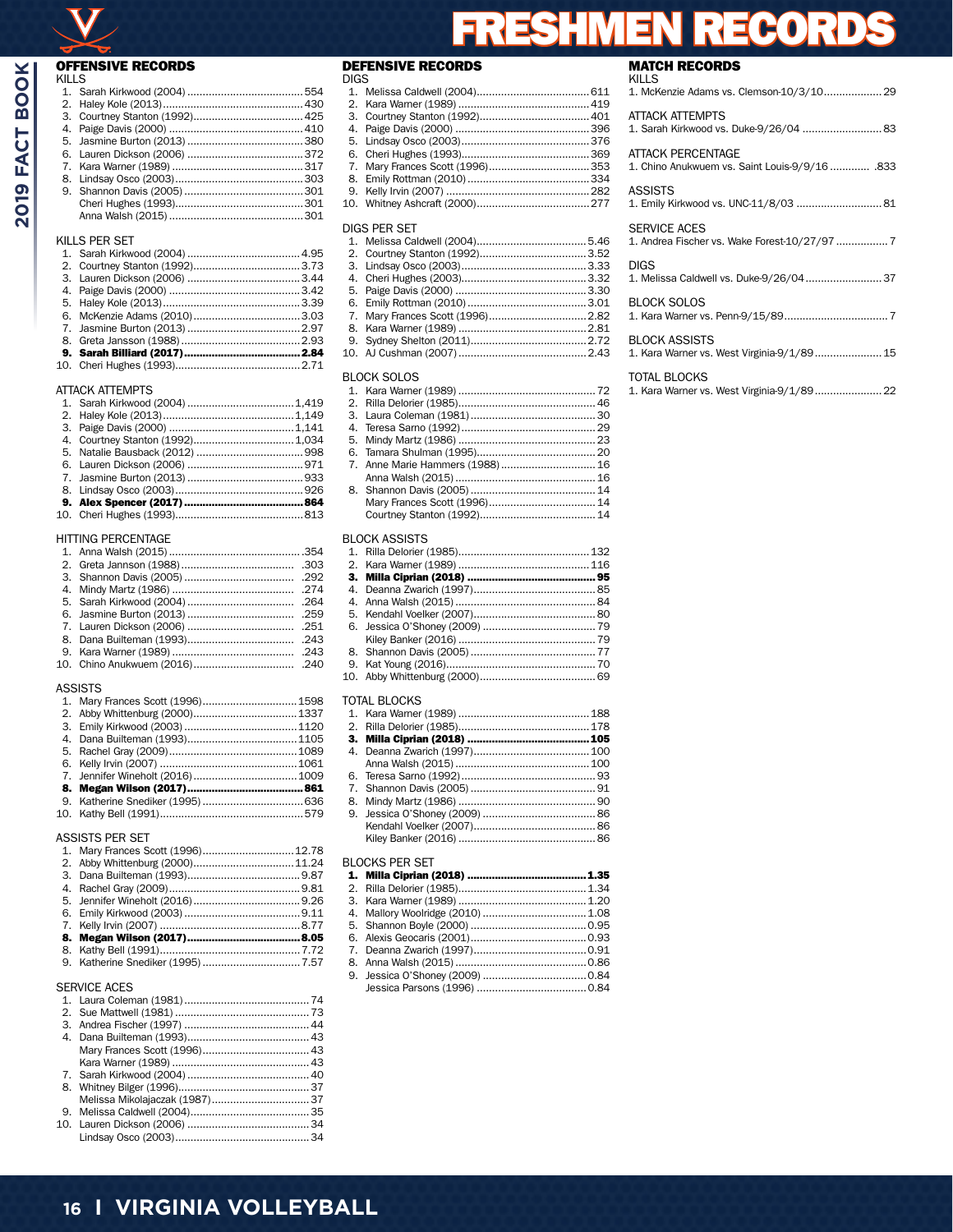| <b>OFFENSIVE RECORDS</b>                 |
|------------------------------------------|
| <b>KILLS</b><br>1.                       |
| 2.                                       |
| 3.                                       |
| 4.                                       |
| 5.                                       |
| 6.                                       |
| 7.                                       |
| 8.                                       |
| 9.                                       |
|                                          |
|                                          |
| KILLS PER SET                            |
| 1.                                       |
| 2.                                       |
| 3.                                       |
| 4.                                       |
| 5.                                       |
| 6.                                       |
| 7.                                       |
| 8.                                       |
| 9.                                       |
| 10.                                      |
|                                          |
| <b>ATTACK ATTEMPTS</b><br>$\mathbf{1}$ . |
| 2.                                       |
| 3.                                       |
| Courtney Stanton (1992) 1,034<br>4.      |
| 5.                                       |
| 6.                                       |
| 7.                                       |
| 8.                                       |
| 9.                                       |
| 10.                                      |
|                                          |
| HITTING PERCENTAGE                       |
| $\mathbf{1}$ .                           |
| 2.<br>.303<br>3.                         |
| .292<br>.274<br>4.                       |
| 5.<br>.264                               |
| .259<br>6.                               |
| 7.<br>.251                               |
| 8.<br>.243                               |
| .243<br>9.                               |
| Chino Anukwuem (2016)<br>10.<br>.240     |
|                                          |
| <b>ASSISTS</b>                           |
| Mary Frances Scott (1996)1598<br>1.      |
| 2.                                       |

## ASSISTS PER SET

|                     | 1. Mary Frances Scott (1996) 12.78 |    |  |  |
|---------------------|------------------------------------|----|--|--|
|                     |                                    |    |  |  |
|                     |                                    |    |  |  |
|                     |                                    |    |  |  |
|                     |                                    |    |  |  |
|                     |                                    |    |  |  |
|                     |                                    |    |  |  |
|                     |                                    |    |  |  |
|                     |                                    |    |  |  |
|                     |                                    |    |  |  |
| <b>SERVICE ACES</b> |                                    |    |  |  |
|                     | 1 Laura Coleman (1981)             | 74 |  |  |

# **DEFENSIVE RECORDS**<br>Digs

| digs per set |  |  |  |  |
|--------------|--|--|--|--|

| <b>BLOCK SOLOS</b> |  |  |  |  |
|--------------------|--|--|--|--|
|                    |  |  |  |  |

#### BLOCK ASSISTS

#### TOTAL BLOCKS

## BLOCKS PER SET

# **MATCH RECORDS**<br>KILLS

| KILLS<br>1. McKenzie Adams vs. Clemson-10/3/10 29                    |
|----------------------------------------------------------------------|
| <b>ATTACK ATTEMPTS</b><br>1. Sarah Kirkwood vs. Duke-9/26/04  83     |
| ATTACK PERCENTAGE<br>1. Chino Anukwuem vs. Saint Louis-9/9/16 .833   |
| <b>ASSISTS</b><br>1. Emily Kirkwood vs. UNC-11/8/03  81              |
| <b>SERVICE ACES</b><br>1. Andrea Fischer vs. Wake Forest-10/27/97  7 |
| <b>DIGS</b><br>1. Melissa Caldwell vs. Duke-9/26/04 37               |
| BLOCK SOLOS                                                          |
| <b>BLOCK ASSISTS</b><br>1. Kara Warner vs. West Virginia-9/1/89 15   |
| <b>TOTAL BLOCKS</b><br>1. Kara Warner vs. West Virginia-9/1/89 22    |
|                                                                      |

RECORDS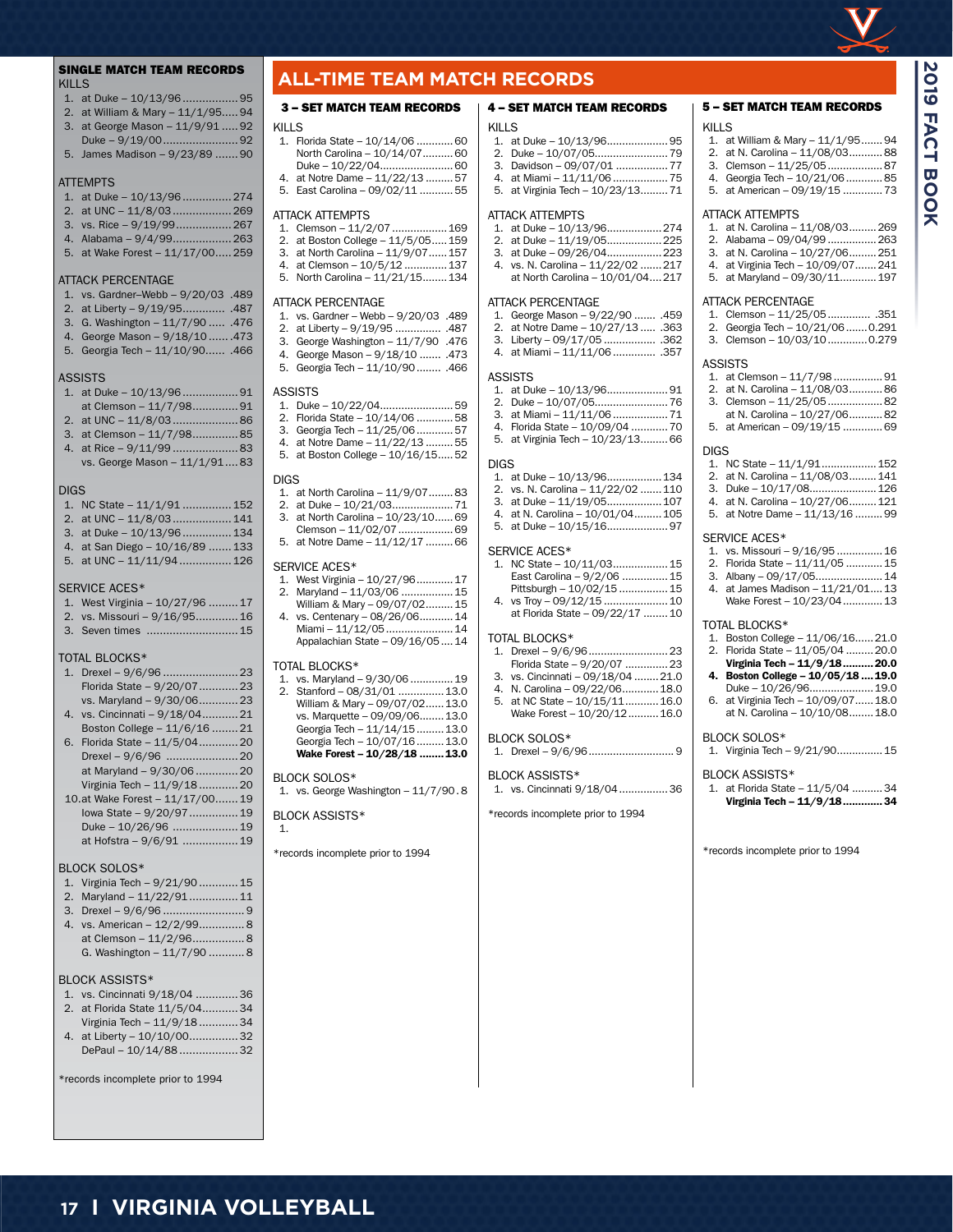

5 – SET MATCH TEAM RECORDS

1. at William & Mary – 11/1/95.......94 2. at N. Carolina – 11/08/03...........88 3. Clemson - 11/25/05........................87 4. Georgia Tech – 10/21/06............85 5. at American – 09/19/15 .............73

1. at N. Carolina – 11/08/03.........269 2. Alabama – 09/04/99 ................263 3. at N. Carolina – 10/27/06.........251 4. at Virginia Tech – 10/09/07.......241 5. at Maryland – 09/30/11............197

1. Clemson – 11/25/05.............. .351 2. Georgia Tech – 10/21/06.......0.291 3. Clemson – 10/03/10.............0.279

1. at Clemson – 11/7/98 ................91 2. at N. Carolina – 11/08/03...........86 3. Clemson – 11/25/05..................82 at N. Carolina – 10/27/06...........82 5. at American – 09/19/15 .............69

1. NC State – 11/1/91..................152 2. at N. Carolina – 11/08/03.........141 3. Duke - 10/17/08.........................126 4. at N. Carolina – 10/27/06.........121 5. at Notre Dame – 11/13/16 .........99

1. vs. Missouri – 9/16/95 ...............16 2. Florida State – 11/11/05 ............ 15 3. Albany – 09/17/05......................14 4. at James Madison – 11/21/01....13 Wake Forest - 10/23/04..............13

1. Boston College – 11/06/16......21.0 2. Florida State – 11/05/04 .........20.0 Virginia Tech – 11/9/18..........20.0 4. Boston College – 10/05/18 ....19.0 Duke – 10/26/96.....................19.0 6. at Virginia Tech – 10/09/07......18.0 at N. Carolina – 10/10/08........18.0

1. Virginia Tech – 9/21/90...............15

1. at Florida State – 11/5/04 ..........34 Virginia Tech – 11/9/18.............34

\*records incomplete prior to 1994

KILLS

ATTACK ATTEMPTS

ATTACK PERCENTAGE

ASSISTS

DIGS

SERVICE ACES\*

TOTAL BLOCKS\*

BLOCK SOLOS\*

BLOCK ASSISTS\*

**2019 FACT BOOK**

**BOOK** 

**FACT** 

**2019** 

#### SINGLE MATCH TEAM RECORDS KILLS

- 1. at Duke 10/13/96................. 95
- 2. at William & Mary 11/1/95..... 94
- 3. at George Mason 11/9/91 ..... 92 Duke – 9/19/00....................... 92
- 5. James Madison 9/23/89 ....... 90

#### **ATTFMPTS**

## 1. at Duke – 10/13/96............... 274

- 2. at UNC 11/8/03.................. 269
- 3. vs. Rice 9/19/99................. 267 4. Alabama – 9/4/99.................. 263
- 5. at Wake Forest 11/17/00..... 259

#### ATTACK PERCENTAGE

- 1. vs. Gardner–Webb 9/20/03 .489
- 2. at Liberty 9/19/95............. .487
- 3. G. Washington 11/7/90 ..... .476
- 4. George Mason 9/18/10 ...... .473
- 5. Georgia Tech 11/10/90...... .466

#### **ASSISTS**

- 1. at Duke 10/13/96................. 91
- at Clemson 11/7/98.............. 91 2. at UNC – 11/8/03.................... 86
- 3. at Clemson 11/7/98.............. 85
- 4. at Rice 9/11/99 .................... 83
- vs. George Mason 11/1/91.... 83

#### DIGS

- 1. NC State 11/1/91 ............... 152
- 2. at UNC 11/8/03.................. 141 3. at Duke – 10/13/96............... 134
- 4. at San Diego 10/16/89 ....... 133
- 5. at UNC 11/11/94................ 126

#### SERVICE ACES\*

- 1. West Virginia 10/27/96 ......... 17
- 2. vs. Missouri 9/16/95............. 16
- 3. Seven times ............................ 15

#### TOTAL BLOCKS\*

- 1. Drexel 9/6/96 ....................... 23 Florida State – 9/20/07............ 23 vs. Maryland – 9/30/06............ 23 4. vs. Cincinnati – 9/18/04........... 21 Boston College – 11/6/16 ........ 21 6. Florida State – 11/5/04............ 20 Drexel – 9/6/96 ...................... 20 at Maryland – 9/30/06............. 20 Virginia Tech – 11/9/18 ............ 20
- 10.at Wake Forest 11/17/00....... 19 Iowa State – 9/20/97............... 19 Duke – 10/26/96 .................... 19 at Hofstra – 9/6/91 ................. 19

#### BLOCK SOLOS\*

- 1. Virginia Tech 9/21/90 ............ 15
- 2. Maryland 11/22/91............... 11
- 3. Drexel 9/6/96 ......................... 9 4. vs. American – 12/2/99.............. 8
- at Clemson 11/2/96................ 8 G. Washington – 11/7/90 ........... 8

#### BLOCK ASSISTS\*

- 1. vs. Cincinnati 9/18/04 ............. 36
- 2. at Florida State 11/5/04........... 34 Virginia Tech – 11/9/18 ............ 34
- 4. at Liberty 10/10/00............... 32 DePaul – 10/14/88 .................. 32

**17 I VIRGINIA VOLLEYBALL**

\*records incomplete prior to 1994

## **ALL-TIME TEAM MATCH RECORDS**

#### 3 – SET MATCH TEAM RECORDS

#### KILLS

- 1. Florida State 10/14/06 ............60 North Carolina – 10/14/07..........60 Duke – 10/22/04........................60 4. at Notre Dame – 11/22/13 ..........57 5. East Carolina – 09/02/11 ...........55 ATTACK ATTEMPTS 1. Clemson – 11/2/07..................169 2. at Boston College – 11/5/05.....159 3. at North Carolina – 11/9/07......157
- 4. at Clemson 10/5/12 ..............137
- 5. North Carolina 11/21/15........134

#### ATTACK PERCENTAGE

- 1. vs. Gardner Webb 9/20/03 .489
- 2. at Liberty 9/19/95 ............... .487 3. George Washington – 11/7/90 .476
- 4. George Mason 9/18/10 ....... .473
- 5. Georgia Tech 11/10/90........ .466

#### **ASSISTS**

- 1. Duke 10/22/04........................59 2. Florida State – 10/14/06 ............58 3. Georgia Tech – 11/25/06............57 4. at Notre Dame – 11/22/13 .........55
- 5. at Boston College 10/16/15.....52

#### DIGS

- 1. at North Carolina 11/9/07........83 2. at Duke – 10/21/03....................71
- 3. at North Carolina 10/23/10......69
- Clemson 11/02/07..................69
- 5. at Notre Dame 11/12/17 .........66

#### SERVICE ACES\*

- 1. West Virginia 10/27/96............17 2. Maryland – 11/03/06 .................15 William & Mary – 09/07/02.........15 4. vs. Centenary – 08/26/06...........14
- Miami 11/12/05......................14 Appalachian State – 09/16/05....14

#### TOTAL BLOCKS\*

|  | 1. vs. Maryland - 9/30/06  19  |  |
|--|--------------------------------|--|
|  | 2. Stanford - 08/31/01  13.0   |  |
|  | William & Mary - 09/07/02 13.0 |  |
|  | vs. Marquette - 09/09/06 13.0  |  |
|  | Georgia Tech - 11/14/15  13.0  |  |
|  | Georgia Tech - 10/07/16  13.0  |  |
|  | Wake Forest - 10/28/18  13.0   |  |
|  |                                |  |

## BLOCK SOLOS\*

1. vs. George Washington – 11/7/90. 8

#### BLOCK ASSISTS\*

1.

\*records incomplete prior to 1994

## 4 – SET MATCH TEAM RECORDS

#### KILLS

| 3. Davidson - 09/07/01  77       |
|----------------------------------|
| 4. at Miami - 11/11/06  75       |
| 5. at Virginia Tech - 10/23/1371 |
|                                  |

#### ATTACK ATTEMPTS

- 1. at Duke 10/13/96..................274 2. at Duke – 11/19/05..................225
- 3. at Duke 09/26/04..................223
- 4. vs. N. Carolina 11/22/02 .......217 at North Carolina – 10/01/04....217

#### ATTACK PERCENTAGE

- 1. George Mason 9/22/90 ....... .459
- 2. at Notre Dame 10/27/13 ..... .363 3. Liberty – 09/17/05 ................. .362
- 4. at Miami 11/11/06.............. .357

#### ASSISTS

1. at Duke – 10/13/96....................91 2. Duke – 10/07/05........................76 3. at Miami – 11/11/06..................71 4. Florida State – 10/09/04 ............70 5. at Virginia Tech – 10/23/13.........66

#### DIGS

- 1. at Duke 10/13/96..................134 2. vs. N. Carolina – 11/22/02 .......110 3. at Duke – 11/19/05..................107 4. at N. Carolina – 10/01/04.........105
- 5. at Duke 10/15/16....................97

#### SERVICE ACES\*

| 1. NC State - 10/11/03 15       |  |
|---------------------------------|--|
| East Carolina - 9/2/06  15      |  |
| Pittsburgh - 10/02/15  15       |  |
|                                 |  |
| at Florida State - 09/22/17  10 |  |

#### TOTAL BLOCKS\*

- 1. Drexel 9/6/96..........................23 Florida State – 9/20/07 ..............23
- 3. vs. Cincinnati 09/18/04 ........21.0
- 4. N. Carolina 09/22/06............18.0 5. at NC State – 10/15/11...........16.0
- Wake Forest 10/20/12.......... 16.0

#### BLOCK SOLOS\*

1. Drexel – 9/6/96............................ 9

\*records incomplete prior to 1994

1. vs. Cincinnati 9/18/04................36

#### BLOCK ASSISTS\*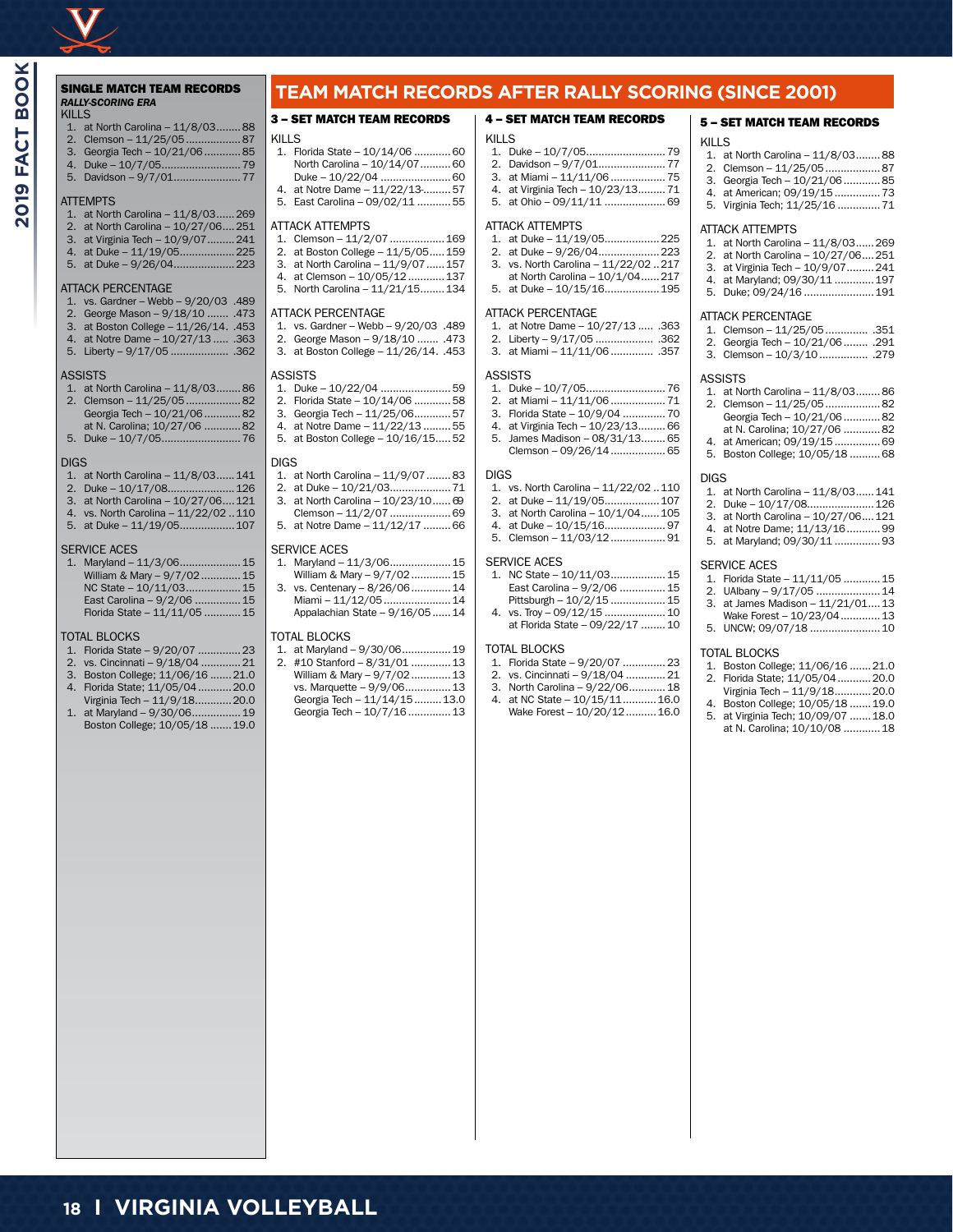## *RALLY-SCORING ERA* KILLS

|  | 1. at North Carolina - 11/8/0388          |                 |
|--|-------------------------------------------|-----------------|
|  | 2. Clemson - 11/25/0587                   |                 |
|  | $2 \cdot \text{Exercise}$ Task $10/21/06$ | O <sub>th</sub> |

3. Georgia Tech – 10/21/06............85 4. Duke – 10/7/05..........................79

#### 5. Davidson – 9/7/01......................77

#### **ATTEMPTS**

- 1. at North Carolina 11/8/03......269
- 2. at North Carolina 10/27/06....251 3. at Virginia Tech – 10/9/07.........241
- 4. at Duke 11/19/05..................225
- 5. at Duke 9/26/04....................223

#### ATTACK PERCENTAGE

- 1. vs. Gardner Webb 9/20/03 .489
- 2. George Mason 9/18/10 ....... .473
- 3. at Boston College 11/26/14. .453
- 4. at Notre Dame 10/27/13 ..... .363 5. Liberty – 9/17/05 ................... .362

#### **ASSISTS**

- 1. at North Carolina 11/8/03........86 2. Clemson – 11/25/05..................82 Georgia Tech – 10/21/06............82
- at N. Carolina; 10/27/06 ............82
- 5. Duke 10/7/05..........................76

#### DIGS

- 1. at North Carolina 11/8/03......141
- 2. Duke 10/17/08......................126
- 3. at North Carolina 10/27/06....121
- 4. vs. North Carolina 11/22/02 ..110 5. at Duke – 11/19/05..................107

#### SERVICE ACES

1. Maryland – 11/3/06....................15 William & Mary – 9/7/02.............15 NC State – 10/11/03....................15 East Carolina – 9/2/06 ...............15 Florida State – 11/11/05 ............15

#### TOTAL BLOCKS

- 1. Florida State 9/20/07 ..............23
- 2. vs. Cincinnati 9/18/04 .............21
- 3. Boston College; 11/06/16 .......21.0 4. Florida State; 11/05/04...........20.0
- Virginia Tech 11/9/18............20.0
- 1. at Maryland 9/30/06................19 Boston College; 10/05/18 .......19.0

**18 I VIRGINIA VOLLEYBALL**

## SINGLE MATCH TEAM RECORDS **TEAM MATCH RECORDS AFTER RALLY SCORING (SINCE 2001)**

#### 3 – SET MATCH TEAM RECORDS 4 – SET MATCH TEAM RECORDS

#### KILLS 1. Florida State – 10/14/06 ............60 North Carolina – 10/14/07...........60 Duke – 10/22/04 .......................60 4. at Notre Dame – 11/22/13-.........57 5. East Carolina – 09/02/11 ...........55 ATTACK ATTEMPTS 1. Clemson – 11/2/07..................169 2. at Boston College – 11/5/05.....159 3. at North Carolina – 11/9/07......157

- 4. at Clemson 10/05/12............137
- 5. North Carolina 11/21/15........134

#### ATTACK PERCENTAGE

- 1. vs. Gardner Webb 9/20/03 .489
- 2. George Mason 9/18/10 ....... .473
- 3. at Boston College 11/26/14. .453

#### ASSISTS

- 1. Duke 10/22/04 .......................59
- 2. Florida State 10/14/06 ............58
- 3. Georgia Tech 11/25/06............57
- 4. at Notre Dame 11/22/13 .........55 5. at Boston College – 10/16/15.....52
- 

#### DIGS

- 1. at North Carolina 11/9/07........83 2. at Duke – 10/21/03....................71
- 3. at North Carolina 10/23/10...... 69
- Clemson 11/2/07....................69
- 5. at Notre Dame 11/12/17 .........66

#### SERVICE ACES

|    | Maryland - 11/3/06 15           |  |
|----|---------------------------------|--|
|    | William & Mary - 9/7/02 15      |  |
| 3. | vs. Centenary - 8/26/06 14      |  |
|    | Miami - 11/12/05  14            |  |
|    | Appalachian State - 9/16/05  14 |  |
|    |                                 |  |

#### TOTAL BLOCKS

| 1. at Maryland - 9/30/06 19   |  |
|-------------------------------|--|
| 2. #10 Stanford - 8/31/01  13 |  |
| William & Mary - 9/7/02 13    |  |
| vs. Marquette - 9/9/06 13     |  |
| Georgia Tech - 11/14/15  13.0 |  |
| Georgia Tech - 10/7/16  13    |  |
|                               |  |

KILLS 1. Duke – 10/7/05..........................79 2. Davidson – 9/7/01......................77 3. at Miami – 11/11/06..................75 4. at Virginia Tech – 10/23/13.........71 5. at Ohio – 09/11/11 ....................69

#### ATTACK ATTEMPTS

- 1. at Duke 11/19/05..................225 2. at Duke – 9/26/04....................223 3. vs. North Carolina – 11/22/02 ..217
- at North Carolina  $10/1/04$ ...... 217
- 5. at Duke 10/15/16..................195

#### ATTACK PERCENTAGE

- 1. at Notre Dame 10/27/13 ..... .363
- 2. Liberty 9/17/05 ................... .362
- 3. at Miami 11/11/06.............. .357

#### ASSISTS

- 1. Duke 10/7/05..........................76
- 2. at Miami 11/11/06..................71 3. Florida State – 10/9/04 ..............70
- 4. at Virginia Tech 10/23/13.........66
- 5. James Madison 08/31/13........65 Clemson – 09/26/14..................65

#### DIGS

- 1. vs. North Carolina 11/22/02 ..110
- 2. at Duke 11/19/05..................107
- 3. at North Carolina 10/1/04......105 4. at Duke – 10/15/16....................97
- 5. Clemson 11/03/12..................91

#### SERVICE ACES

| 1. NC State - 10/11/03 15       |
|---------------------------------|
| East Carolina - 9/2/06  15      |
| Pittsburgh - 10/2/15  15        |
| 4. vs. Troy - 09/12/15  10      |
| at Florida State - 09/22/17  10 |

#### TOTAL BLOCKS

- 1. Florida State 9/20/07 ..............23
- 2. vs. Cincinnati 9/18/04 .............21
- 3. North Carolina 9/22/06............18
- 4. at NC State 10/15/11...........16.0
- Wake Forest 10/20/12.......... 16.0

#### 5 – SET MATCH TEAM RECORDS

#### KILLS

- 1. at North Carolina 11/8/03........88 2. Clemson – 11/25/05..................87 3. Georgia Tech – 10/21/06............85
- 4. at American; 09/19/15...............73 5. Virginia Tech; 11/25/16 ..............71

#### ATTACK ATTEMPTS

- 1. at North Carolina 11/8/03......269 2. at North Carolina – 10/27/06....251 3. at Virginia Tech – 10/9/07.........241 4. at Maryland; 09/30/11 .............197
- 5. Duke; 09/24/16 .......................191

#### ATTACK PERCENTAGE

- 1. Clemson 11/25/05.............. .351
- 2. Georgia Tech 10/21/06........ .291 3. Clemson – 10/3/10................ .279
	-

#### ASSISTS

- 1. at North Carolina 11/8/03........86 2. Clemson – 11/25/05..................82 Georgia Tech – 10/21/06............82 at N. Carolina; 10/27/06 ............82 4. at American; 09/19/15...............69
- 5. Boston College; 10/05/18 ..........68

#### DIGS

SERVICE ACES

TOTAL BLOCKS

- 1. at North Carolina 11/8/03......141
- 2. Duke 10/17/08......................126 3. at North Carolina – 10/27/06....121 4. at Notre Dame; 11/13/16...........99 5. at Maryland; 09/30/11 ...............93

1. Florida State – 11/11/05 ............15 2. UAlbany – 9/17/05 .....................14 3. at James Madison – 11/21/01....13 Wake Forest - 10/23/04.............13 5. UNCW; 09/07/18 .......................10

1. Boston College; 11/06/16 .......21.0 2. Florida State; 11/05/04...........20.0 Virginia Tech – 11/9/18............20.0 4. Boston College; 10/05/18 .......19.0 5. at Virginia Tech; 10/09/07 .......18.0 at N. Carolina; 10/10/08 ............18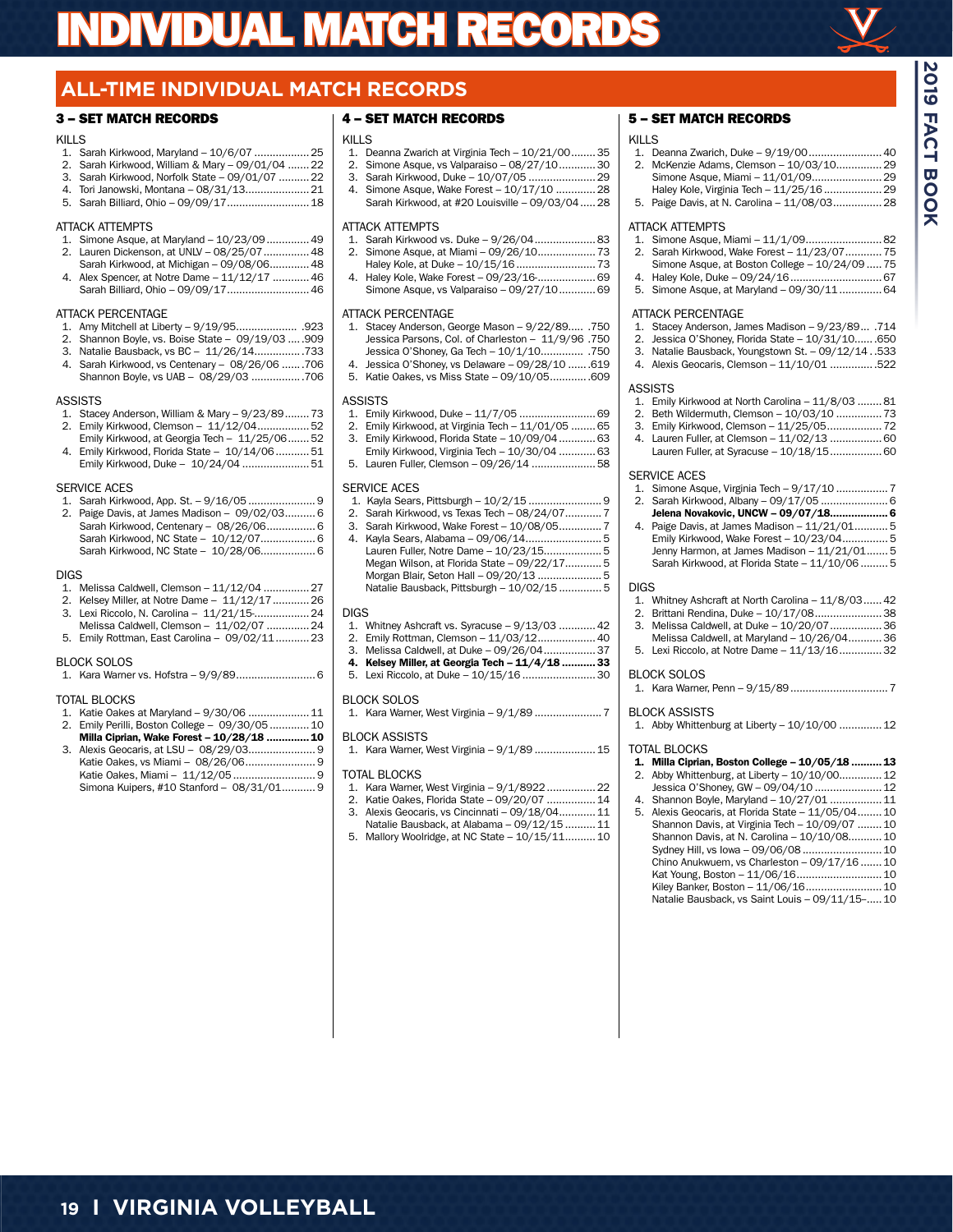

**2019 FACT BOOK**

FACT BOOK

# **ALL-TIME INDIVIDUAL MATCH RECORDS**

## 3 – SET MATCH RECORDS

#### KILLS

- 1. Sarah Kirkwood, Maryland 10/6/07 ..................25
- 2. Sarah Kirkwood, William & Mary 09/01/04 .......22
- 3. Sarah Kirkwood, Norfolk State 09/01/07 ..........22 4. Tori Janowski, Montana – 08/31/13.....................21
- 5. Sarah Billiard, Ohio 09/09/17...........................18

#### ATTACK ATTEMPTS

- 1. Simone Asque, at Maryland  $10/23/09$ ................49<br>2. Lauren Dickenson, at LINIV 08/25/07 2. Lauren Dickenson, at UNLV – 08/25/07...............48
- Sarah Kirkwood, at Michigan 09/08/06.............48
- Alex Spencer, at Notre Dame 11/12/17 ............ 46 Sarah Billiard, Ohio – 09/09/17...........................46

#### ATTACK PERCENTAGE

- 1. Amy Mitchell at Liberty 9/19/95.................... .923
- 2. Shannon Boyle, vs. Boise State 09/19/03 .....909
- 3. Natalie Bausback, vs BC 11/26/14................733 4. Sarah Kirkwood, vs Centenary – 08/26/06 .......706
- Shannon Boyle, vs UAB 08/29/03 .................706

## **ASSISTS**

- 1. Stacey Anderson, William & Mary 9/23/89........ 73<br>2. Emily Kirkwood. Clemson 11/12/04.................. 52 Emily Kirkwood, Clemson - 11/12/04.................52
- Emily Kirkwood, at Georgia Tech 11/25/06.......52 4. Emily Kirkwood, Florida State – 10/14/06...........51
- Emily Kirkwood, Duke 10/24/04 ......................51

#### SERVICE ACES

1. Sarah Kirkwood, App. St. – 9/16/05...................... 9 Paige Davis, at James Madison – 09/02/03.......... 6 Sarah Kirkwood, Centenary – 08/26/06................ 6 Sarah Kirkwood, NC State – 10/12/07.................. 6 Sarah Kirkwood, NC State – 10/28/06.................. 6

#### DIGS

- 1. Melissa Caldwell, Clemson 11/12/04 ................ 27<br>2. Kelsey Miller, at Notre Dame 11/12/17 ............ 26
- 2. Kelsey Miller, at Notre Dame 11/12/17............26 3. Lexi Riccolo, N. Carolina – 11/21/15-..................24
- Melissa Caldwell, Clemson 11/02/07 ..............24 5. Emily Rottman, East Carolina – 09/02/11...........23

#### BLOCK SOLOS

| טשטעו שטבעט |  |
|-------------|--|
|             |  |

#### TOTAL BLOCKS

- 1. Katie Oakes at Maryland 9/30/06 .................... 11<br>2. Emily Perilli. Boston College 09/30/05 ............. 10
- 2. Emily Perilli, Boston College 09/30/05.............10 Milla Ciprian, Wake Forest 10/28/18 ..............10 3. Alexis Geocaris, at LSU – 08/29/03...................... 9 Katie Oakes, vs Miami – 08/26/06....................... 9 Katie Oakes, Miami – 11/12/05........................... 9 Simona Kuipers, #10 Stanford – 08/31/01........... 9

## 4 – SET MATCH RECORDS

#### KILLS

- 
- 1. Deanna Zwarich at Virginia Tech 10/21/00.........35<br>2. Simone Asque. vs Valparaiso 08/27/10............30 2. Simone Asque, vs Valparaiso –  $08/27/10$ .............30<br>3. Sarah Kirkwood Duke –  $10/07/05$
- 3. Sarah Kirkwood, Duke 10/07/05 ......................29
- Simone Asque, Wake Forest 10/17/10 ............. 28 Sarah Kirkwood, at #20 Louisville – 09/03/04.....28

#### ATTACK ATTEMPTS

- 1. Sarah Kirkwood vs. Duke 9/26/04....................83 2. Simone Asque, at Miami – 09/26/10...................73
- Haley Kole, Wake Forest 09/23/16-....................... 69 Simone Asque, vs Valparaiso – 09/27/10............69

#### ATTACK PERCENTAGE

- 1. Stacey Anderson, George Mason 9/22/89..... .750 Jessica Parsons, Col. of Charleston – 11/9/96 .750 Jessica O'Shoney, Ga Tech – 10/1/10.............. .750
- 4. Jessica O'Shoney, vs Delaware 09/28/10 .......619
- 5. Katie Oakes, vs Miss State 09/10/05.............609

#### **ASSISTS**

- 1. Emily Kirkwood, Duke 11/7/05 .........................69
- 2. Emily Kirkwood, at Virginia Tech 11/01/05 ........65 3. Emily Kirkwood, Florida State – 10/09/04............63
- Emily Kirkwood, Virginia Tech 10/30/04 ............63 5. Lauren Fuller, Clemson – 09/26/14 .....................58

#### SERVICE ACES

- 1. Kayla Sears, Pittsburgh 10/2/15 ........................ 9
- 2. Sarah Kirkwood, vs Texas Tech 08/24/07............ 7
- 3. Sarah Kirkwood, Wake Forest 10/08/05.............. 7
- 4. Kayla Sears, Alabama 09/06/14......................... 5 Lauren Fuller, Notre Dame – 10/23/15................... 5 Megan Wilson, at Florida State – 09/22/17............ 5 Morgan Blair, Seton Hall – 09/20/13 ..................... 5 Natalie Bausback, Pittsburgh – 10/02/15.............. 5

#### DIGS

- 1. Whitney Ashcraft vs. Syracuse 9/13/03 ............42
- 2. Emily Rottman, Clemson 11/03/12...................40
- 3. Melissa Caldwell, at Duke 09/26/04.................37
- Kelsey Miller, at Georgia Tech 11/4/18 ........... 33 5. Lexi Riccolo, at Duke – 10/15/16 ........................30
- 

#### BLOCK SOLOS

1. Kara Warner, West Virginia – 9/1/89 ...................... 7

#### BLOCK ASSISTS

1. Kara Warner, West Virginia – 9/1/89 ....................15

#### TOTAL BLOCKS

- 1. Kara Warner, West Virginia 9/1/8922................22
- 2. Katie Oakes, Florida State 09/20/07 ................ 14<br>3. Alexis Geocaris vs Cincinnati 09/18/04 11
- 3. Alexis Geocaris, vs Cincinnati 09/18/04............11
- Natalie Bausback, at Alabama 09/12/15 .......... 11<br>5 Mallory Woolridge at NC State 10/15/11

## Mallory Woolridge, at NC State - 10/15/11.......... 10

## 5 – SET MATCH RECORDS

#### KILLS

- 1. Deanna Zwarich, Duke 9/19/00........................40 2. McKenzie Adams, Clemson – 10/03/10...............29 Simone Asque, Miami – 11/01/09.......................29 Haley Kole, Virginia Tech – 11/25/16...................29
- 5. Paige Davis, at N. Carolina 11/08/03................28 ATTACK ATTEMPTS

- 1. Simone Asque, Miami 11/1/09.........................82 2. Sarah Kirkwood, Wake Forest – 11/23/07............75
- Simone Asque, at Boston College 10/24/09 ..... 75
- 4. Haley Kole, Duke 09/24/16..............................67 5. Simone Asque, at Maryland – 09/30/11..............64

#### ATTACK PERCENTAGE

- 1. Stacey Anderson, James Madison 9/23/89... .714
- 2. Jessica O'Shoney, Florida State 10/31/10.......650
- 3. Natalie Bausback, Youngstown St. 09/12/14 ..533
- 4. Alexis Geocaris, Clemson 11/10/01 ...............522

#### ASSISTS

- 1. Emily Kirkwood at North Carolina 11/8/03 ........81 2. Beth Wildermuth, Clemson – 10/03/10 ................ 73<br>3. Emily Kirkwood. Clemson – 11/25/05 ................... 72
- 3. Emily Kirkwood, Clemson 11/25/05..................72
- 4. Lauren Fuller, at Clemson 11/02/13 .................60 Lauren Fuller, at Syracuse – 10/18/15.................60

|             | <b>SERVICE ACES</b>                                |
|-------------|----------------------------------------------------|
|             |                                                    |
| 2.          | Sarah Kirkwood, Albany - 09/17/05  6               |
|             | Jelena Novakovic, UNCW - 09/07/18 6                |
|             | 4. Paige Davis, at James Madison - 11/21/015       |
|             | Emily Kirkwood, Wake Forest - 10/23/045            |
|             | Jenny Harmon, at James Madison - 11/21/01 5        |
|             | Sarah Kirkwood, at Florida State - 11/10/06  5     |
| <b>DIGS</b> |                                                    |
|             | 1. Whitney Ashcraft at North Carolina - 11/8/03 42 |
| 2.          | Brittani Rendina, Duke - 10/17/08 38               |
| 3.          | Melissa Caldwell, at Duke - 10/20/07  36           |
|             | Melissa Caldwell, at Maryland - 10/26/04 36        |
|             | 5. Lexi Riccolo, at Notre Dame - 11/13/16 32       |
|             |                                                    |
|             | <b>BLOCK SOLOS</b>                                 |
|             |                                                    |
|             | <b>BLOCK ASSISTS</b>                               |
|             | 1. Abby Whittenburg at Liberty - 10/10/00  12      |
|             |                                                    |
|             | <b>TOTAL BLOCKS</b>                                |
| 1.          | Milla Ciprian, Boston College - 10/05/18  13       |
| 2.          | Abby Whittenburg, at Liberty - 10/10/00 12         |
|             | Jessica O'Shoney, GW - 09/04/10  12                |
| 4.          | Shannon Boyle, Maryland - 10/27/01  11             |
| 5.          | Alexis Geocaris, at Florida State - 11/05/04 10    |
|             | Shannon Davis, at Virginia Tech - 10/09/07  10     |
|             | Shannon Davis, at N. Carolina - 10/10/08 10        |
|             | Sydney Hill, vs lowa - 09/06/08 10                 |
|             | Chino Anukwuem, vs Charleston - 09/17/16  10       |
|             |                                                    |

Kiley Banker, Boston - 11/06/16............................. 10 Natalie Bausback, vs Saint Louis – 09/11/15--.....10

- 
- Haley Kole, at Duke 10/15/16..........................73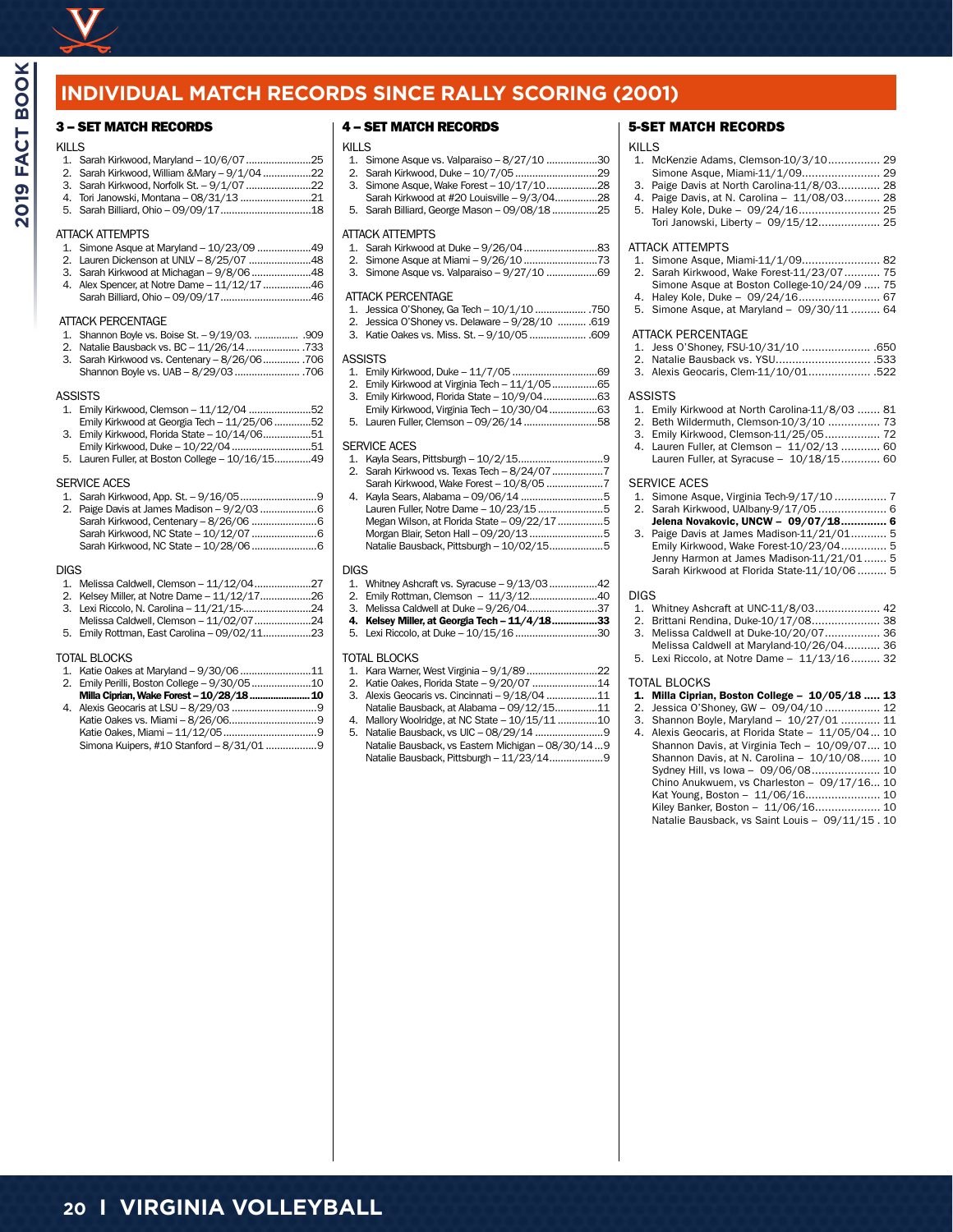

## **INDIVIDUAL MATCH RECORDS SINCE RALLY SCORING (2001)**

#### 3 – SET MATCH RECORDS

#### KILLS

| ៶៲∟∟∪ |                                              |  |
|-------|----------------------------------------------|--|
|       |                                              |  |
|       | 2. Sarah Kirkwood, William & Mary - 9/1/0422 |  |

|  |  | 3. Sarah Kirkwood, Norfolk St. - 9/1/07 22 |
|--|--|--------------------------------------------|
|  |  |                                            |

4. Tori Janowski, Montana – 08/31/13 .........................21 5. Sarah Billiard, Ohio – 09/09/17................................18

#### ATTACK ATTEMPTS

- 1. Simone Asque at Maryland 10/23/09 ...................49
- 2. Lauren Dickenson at UNLV 8/25/07 ......................48 3. Sarah Kirkwood at Michagan – 9/8/06.....................48
- 4. Alex Spencer, at Notre Dame 11/12/17.................46 Sarah Billiard, Ohio – 09/09/17................................46

#### ATTACK PERCENTAGE

- 1. Shannon Boyle vs. Boise St. 9/19/03. .................. .909<br>2. Natalie Bausback vs. RC 11/26/14
- 2. Natalie Bausback vs. BC 11/26/14................... .733 3. Sarah Kirkwood vs. Centenary – 8/26/06............. .706 Shannon Boyle vs. UAB – 8/29/03....................... .706
- **ASSISTS**
- 
- 1. Emily Kirkwood, Clemson 11/12/04 ......................52 Emily Kirkwood at Georgia Tech – 11/25/06.............52
- Emily Kirkwood, Florida State 10/14/06................51 Emily Kirkwood, Duke – 10/22/04............................51
- 5. Lauren Fuller, at Boston College 10/16/15.............49

#### SERVICE ACES

#### DIGS

|  | .<br>. | $\cdots$ |  |
|--|--------|----------|--|

- 2. Kelsey Miller, at Notre Dame 11/12/17..................26 3. Lexi Riccolo, N. Carolina – 11/21/15-........................24
- Melissa Caldwell, Clemson 11/02/07....................24
- 5. Emily Rottman, East Carolina 09/02/11.................23

#### TOTAL BLOCKS

- 1. Katie Oakes at Maryland 9/30/06.........................11 2. Emily Perilli, Boston College – 9/30/05.....................10 Milla Ciprian, Wake Forest – 10/28/18.......................10 4. Alexis Geocaris at LSU – 8/29/03 ..............................9
- Katie Oakes vs. Miami 8/26/06...............................9 Katie Oakes, Miami – 11/12/05.................................9 Simona Kuipers, #10 Stanford – 8/31/01..................9

#### 4 – SET MATCH RECORDS

# KILLS<br>1. S

- 1. Simone Asque vs. Valparaiso 8/27/10 ..................30
- 2. Sarah Kirkwood, Duke 10/7/05.............................29 3. Simone Asque, Wake Forest – 10/17/10..................28
- Sarah Kirkwood at #20 Louisville 9/3/04...............28
- 5. Sarah Billiard, George Mason 09/08/18................25

#### ATTACK ATTEMPTS

- 1. Sarah Kirkwood at Duke 9/26/04..........................83
- 2. Simone Asque at Miami 9/26/10..........................73 3. Simone Asque vs. Valparaiso – 9/27/10 ..................69
- 

#### ATTACK PERCENTAGE

- 1. Jessica O'Shoney, Ga Tech 10/1/10 .................. .750
- 2. Jessica O'Shoney vs. Delaware 9/28/10 .......... .619
- 3. Katie Oakes vs. Miss. St. 9/10/05.................... .609

#### **ASSISTS**

- 1. Emily Kirkwood, Duke 11/7/05..............................69
- 2. Emily Kirkwood at Virginia Tech 11/1/05................65
- 3. Emily Kirkwood, Florida State 10/9/04...................63
- Emily Kirkwood, Virginia Tech 10/30/04.................63
- 5. Lauren Fuller, Clemson 09/26/14..........................58

#### SERVICE ACES

- 1. Kayla Sears, Pittsburgh 10/2/15.... 2. Sarah Kirkwood vs. Texas Tech – 8/24/07..................7
- Sarah Kirkwood, Wake Forest 10/8/05 ....................7 Kayla Sears, Alabama – 09/06/14 ..............................5 Lauren Fuller, Notre Dame – 10/23/15.......................5 Megan Wilson, at Florida State – 09/22/17................5 Morgan Blair, Seton Hall – 09/20/13..........................5 Natalie Bausback, Pittsburgh – 10/02/15...................5

- $DIGS$ <br> $1.$ 1. Whitney Ashcraft vs. Syracuse – 9/13/03.................42
- 2. Emily Rottman, Clemson 11/3/12........................40
- 3. Melissa Caldwell at Duke 9/26/04.........................37
- 4. Kelsey Miller, at Georgia Tech 11/4/18................33
- Lexi Riccolo, at Duke 10/15/16.................................30

#### TOTAL BLOCKS

- 1. Kara Warner, West Virginia 9/1/89.........................22
- 2. Katie Oakes, Florida State 9/20/07.......................14 3. Alexis Geocaris vs. Cincinnati – 9/18/04 ..................11 Natalie Bausback, at Alabama – 09/12/15...............11
- 
- 4. Mallory Woolridge, at NC State 10/15/11..............10 5. Natalie Bausback, vs UIC - 08/29/14 ...........................9 Natalie Bausback, vs Eastern Michigan – 08/30/14...9 Natalie Bausback, Pittsburgh – 11/23/14...................9

#### 5-SET MATCH RECORDS

## KILLS<br>1. M

- McKenzie Adams, Clemson-10/3/10................ 29 Simone Asque, Miami-11/1/09........................ 29
- 3. Paige Davis at North Carolina-11/8/03............. 28 Paige Davis, at N. Carolina - 11/08/03........... 28
- 5. Haley Kole, Duke 09/24/16......................... 25 Tori Janowski, Liberty – 09/15/12................... 25

#### ATTACK ATTEMPTS

- 1. Simone Asque, Miami-11/1/09........................ 82 2. Sarah Kirkwood, Wake Forest-11/23/07........... 75 Simone Asque at Boston College-10/24/09 ..... 75 4. Haley Kole, Duke – 09/24/16......................... 67
- 5. Simone Asque, at Maryland 09/30/11 ......... 64

#### ATTACK PERCENTAGE

- 1. Jess O'Shoney, FSU-10/31/10 ..................... .650
- 2. Natalie Bausback vs. YSU............................. .533 3. Alexis Geocaris, Clem-11/10/01................... .522

#### **ASSISTS**

- 1. Emily Kirkwood at North Carolina-11/8/03 ....... 81
- 2. Beth Wildermuth, Clemson-10/3/10 ................ 73
- 3. Emily Kirkwood, Clemson-11/25/05................. 72
- 4. Lauren Fuller, at Clemson 11/02/13 ............ 60 Lauren Fuller, at Syracuse – 10/18/15............ 60

#### SERVICE ACES

- 1. Simone Asque, Virginia Tech-9/17/10 ................ 7 2. Sarah Kirkwood, UAlbany-9/17/05 ..................... 6 Jelena Novakovic, UNCW – 09/07/18.............. 6 Paige Davis at James Madison-11/21/01........... 5
- Emily Kirkwood, Wake Forest-10/23/04.............. 5 Jenny Harmon at James Madison-11/21/01....... 5 Sarah Kirkwood at Florida State-11/10/06 ......... 5

#### DIGS

- 1. Whitney Ashcraft at UNC-11/8/03.................... 42
- 2. Brittani Rendina, Duke-10/17/08..................... 38
- 3. Melissa Caldwell at Duke-10/20/07................. 36
- Melissa Caldwell at Maryland-10/26/04........... 36 5. Lexi Riccolo, at Notre Dame – 11/13/16......... 32

#### TOTAL BLOCKS

- 1. Milla Ciprian, Boston College 10/05/18 ..... 13
- 2. Jessica O'Shoney, GW 09/04/10 ................. 12
- 3. Shannon Boyle, Maryland  $-10/27/01$  ............. 11<br>4. Alexis Geocaris, at Florida State  $-11/05/04$  10
- 4. Alexis Geocaris, at Florida State 11/05/04... 10 Shannon Davis, at Virginia Tech – 10/09/07.... 10 Shannon Davis, at N. Carolina – 10/10/08...... 10 Sydney Hill, vs Iowa – 09/06/08..................... 10 Chino Anukwuem, vs Charleston – 09/17/16... 10 Kat Young, Boston – 11/06/16....................... 10 Kiley Banker, Boston - 11/06/16.................... 10 Natalie Bausback, vs Saint Louis – 09/11/15 . 10